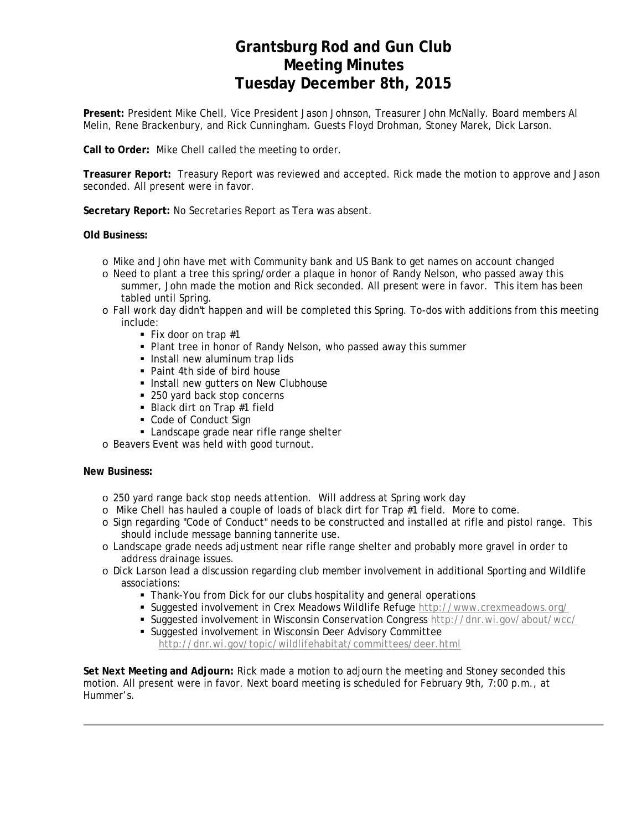## **Grantsburg Rod and Gun Club Meeting Minutes Tuesday December 8th, 2015**

**Present:** President Mike Chell, Vice President Jason Johnson, Treasurer John McNally. Board members Al Melin, Rene Brackenbury, and Rick Cunningham. Guests Floyd Drohman, Stoney Marek, Dick Larson.

**Call to Order:** Mike Chell called the meeting to order.

**Treasurer Report:** Treasury Report was reviewed and accepted. Rick made the motion to approve and Jason seconded. All present were in favor.

**Secretary Report:** No Secretaries Report as Tera was absent.

**Old Business:** 

- o Mike and John have met with Community bank and US Bank to get names on account changed
- o Need to plant a tree this spring/order a plaque in honor of Randy Nelson, who passed away this summer, John made the motion and Rick seconded. All present were in favor. This item has been tabled until Spring.
- o Fall work day didn't happen and will be completed this Spring. To-dos with additions from this meeting include:
	- Fix door on trap  $#1$
	- Plant tree in honor of Randy Nelson, who passed away this summer
	- **Install new aluminum trap lids**
	- Paint 4th side of bird house
	- **Install new gutters on New Clubhouse**
	- 250 yard back stop concerns
	- Black dirt on Trap #1 field
	- Code of Conduct Sign
	- **Landscape grade near rifle range shelter**
- o Beavers Event was held with good turnout.

#### **New Business:**

- o 250 yard range back stop needs attention. Will address at Spring work day
- o Mike Chell has hauled a couple of loads of black dirt for Trap #1 field. More to come.
- o Sign regarding "Code of Conduct" needs to be constructed and installed at rifle and pistol range. This should include message banning tannerite use.
- o Landscape grade needs adjustment near rifle range shelter and probably more gravel in order to address drainage issues.
- o Dick Larson lead a discussion regarding club member involvement in additional Sporting and Wildlife associations:
	- Thank-You from Dick for our clubs hospitality and general operations
	- Suggested involvement in Crex Meadows Wildlife Refuge http://www.crexmeadows.org/
	- Suggested involvement in Wisconsin Conservation Congress http://dnr.wi.gov/about/wcc/
		- Suggested involvement in Wisconsin Deer Advisory Committee http://dnr.wi.gov/topic/wildlifehabitat/committees/deer.html

**Set Next Meeting and Adjourn:** Rick made a motion to adjourn the meeting and Stoney seconded this motion. All present were in favor. Next board meeting is scheduled for February 9th, 7:00 p.m., at Hummer's.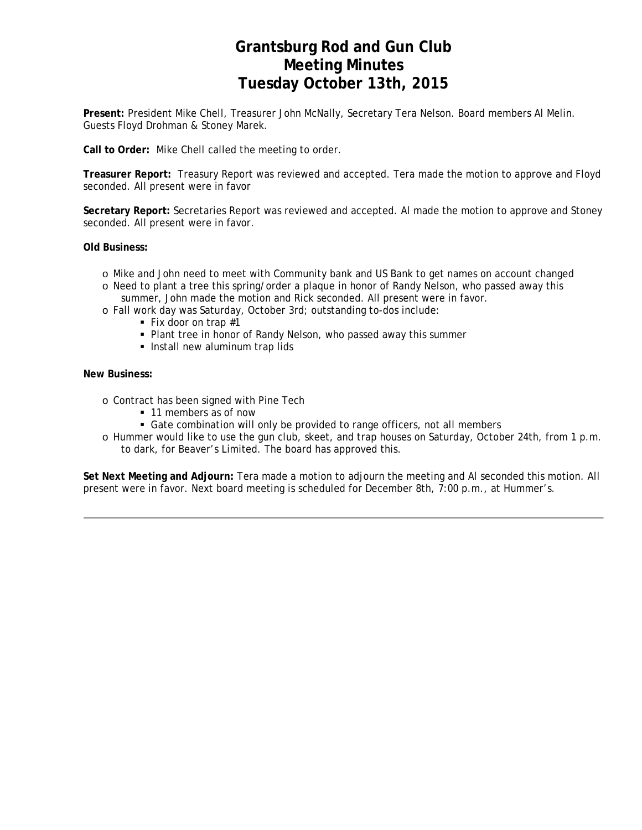## **Grantsburg Rod and Gun Club Meeting Minutes Tuesday October 13th, 2015**

**Present:** President Mike Chell, Treasurer John McNally, Secretary Tera Nelson. Board members Al Melin. Guests Floyd Drohman & Stoney Marek.

**Call to Order:** Mike Chell called the meeting to order.

**Treasurer Report:** Treasury Report was reviewed and accepted. Tera made the motion to approve and Floyd seconded. All present were in favor

**Secretary Report:** Secretaries Report was reviewed and accepted. Al made the motion to approve and Stoney seconded. All present were in favor.

**Old Business:** 

- o Mike and John need to meet with Community bank and US Bank to get names on account changed
- o Need to plant a tree this spring/order a plaque in honor of Randy Nelson, who passed away this summer, John made the motion and Rick seconded. All present were in favor.
- o Fall work day was Saturday, October 3rd; outstanding to-dos include:
	- Fix door on trap  $#1$
	- Plant tree in honor of Randy Nelson, who passed away this summer
	- **Install new aluminum trap lids**

#### **New Business:**

- o Contract has been signed with Pine Tech
	- 11 members as of now
	- Gate combination will only be provided to range officers, not all members
- o Hummer would like to use the gun club, skeet, and trap houses on Saturday, October 24th, from 1 p.m. to dark, for Beaver's Limited. The board has approved this.

**Set Next Meeting and Adjourn:** Tera made a motion to adjourn the meeting and Al seconded this motion. All present were in favor. Next board meeting is scheduled for December 8th, 7:00 p.m., at Hummer's.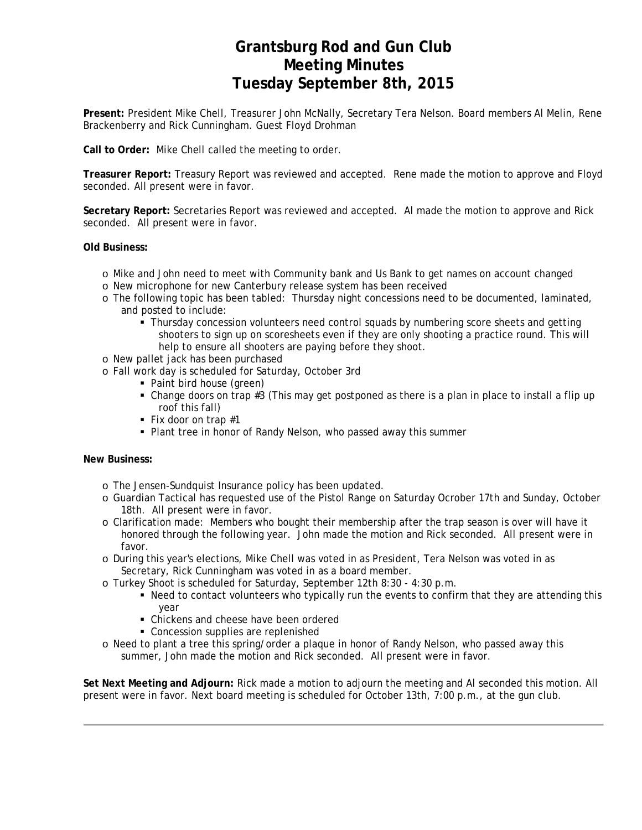## **Grantsburg Rod and Gun Club Meeting Minutes Tuesday September 8th, 2015**

**Present:** President Mike Chell, Treasurer John McNally, Secretary Tera Nelson. Board members Al Melin, Rene Brackenberry and Rick Cunningham. Guest Floyd Drohman

**Call to Order:** Mike Chell called the meeting to order.

**Treasurer Report:** Treasury Report was reviewed and accepted. Rene made the motion to approve and Floyd seconded. All present were in favor.

**Secretary Report:** Secretaries Report was reviewed and accepted. Al made the motion to approve and Rick seconded. All present were in favor.

#### **Old Business:**

- o Mike and John need to meet with Community bank and Us Bank to get names on account changed
- o New microphone for new Canterbury release system has been received
- o The following topic has been tabled: Thursday night concessions need to be documented, laminated, and posted to include:
	- **Thursday concession volunteers need control squads by numbering score sheets and getting** shooters to sign up on scoresheets even if they are only shooting a practice round. This will help to ensure all shooters are paying before they shoot.
- o New pallet jack has been purchased
- o Fall work day is scheduled for Saturday, October 3rd
	- Paint bird house (green)
	- Change doors on trap #3 (This may get postponed as there is a plan in place to install a flip up roof this fall)
	- Fix door on trap  $#1$
	- Plant tree in honor of Randy Nelson, who passed away this summer

#### **New Business:**

- o The Jensen-Sundquist Insurance policy has been updated.
- o Guardian Tactical has requested use of the Pistol Range on Saturday Ocrober 17th and Sunday, October 18th. All present were in favor.
- o Clarification made: Members who bought their membership after the trap season is over will have it honored through the following year. John made the motion and Rick seconded. All present were in favor.
- o During this year's elections, Mike Chell was voted in as President, Tera Nelson was voted in as Secretary, Rick Cunningham was voted in as a board member.
- o Turkey Shoot is scheduled for Saturday, September 12th 8:30 4:30 p.m.
	- Need to contact volunteers who typically run the events to confirm that they are attending this year
		- Chickens and cheese have been ordered
		- Concession supplies are replenished
- o Need to plant a tree this spring/order a plaque in honor of Randy Nelson, who passed away this summer, John made the motion and Rick seconded. All present were in favor.

**Set Next Meeting and Adjourn:** Rick made a motion to adjourn the meeting and Al seconded this motion. All present were in favor. Next board meeting is scheduled for October 13th, 7:00 p.m., at the gun club.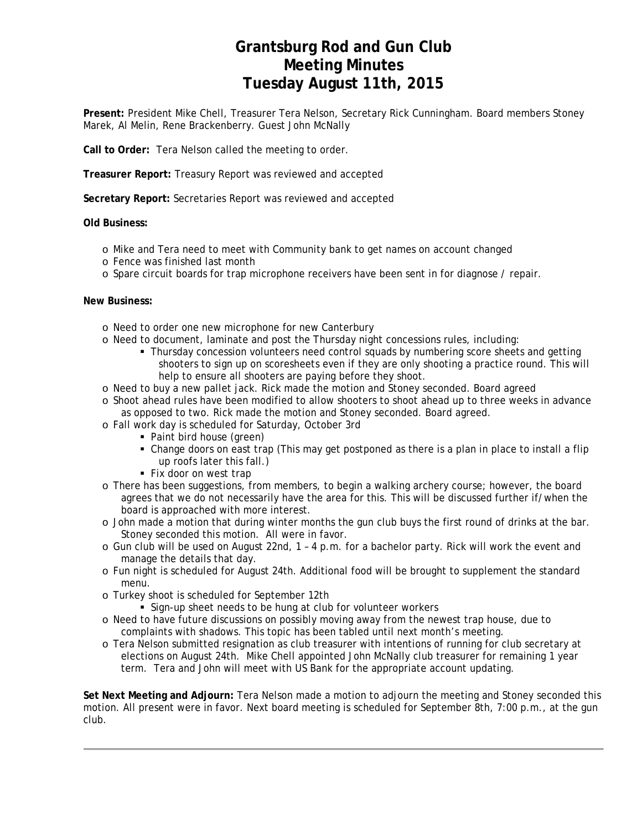## **Grantsburg Rod and Gun Club Meeting Minutes Tuesday August 11th, 2015**

**Present:** President Mike Chell, Treasurer Tera Nelson, Secretary Rick Cunningham. Board members Stoney Marek, Al Melin, Rene Brackenberry. Guest John McNally

**Call to Order:** Tera Nelson called the meeting to order.

**Treasurer Report:** Treasury Report was reviewed and accepted

**Secretary Report:** Secretaries Report was reviewed and accepted

### **Old Business:**

- o Mike and Tera need to meet with Community bank to get names on account changed
- o Fence was finished last month
- o Spare circuit boards for trap microphone receivers have been sent in for diagnose / repair.

#### **New Business:**

- o Need to order one new microphone for new Canterbury
- o Need to document, laminate and post the Thursday night concessions rules, including:
	- Thursday concession volunteers need control squads by numbering score sheets and getting shooters to sign up on scoresheets even if they are only shooting a practice round. This will help to ensure all shooters are paying before they shoot.
- o Need to buy a new pallet jack. Rick made the motion and Stoney seconded. Board agreed
- o Shoot ahead rules have been modified to allow shooters to shoot ahead up to three weeks in advance as opposed to two. Rick made the motion and Stoney seconded. Board agreed.
- o Fall work day is scheduled for Saturday, October 3rd
	- Paint bird house (green)
	- Change doors on east trap (This may get postponed as there is a plan in place to install a flip up roofs later this fall.)
	- **Fix door on west trap**
- o There has been suggestions, from members, to begin a walking archery course; however, the board agrees that we do not necessarily have the area for this. This will be discussed further if/when the board is approached with more interest.
- o John made a motion that during winter months the gun club buys the first round of drinks at the bar. Stoney seconded this motion. All were in favor.
- o Gun club will be used on August 22nd, 1 4 p.m. for a bachelor party. Rick will work the event and manage the details that day.
- o Fun night is scheduled for August 24th. Additional food will be brought to supplement the standard menu.
- o Turkey shoot is scheduled for September 12th
	- Sign-up sheet needs to be hung at club for volunteer workers
- o Need to have future discussions on possibly moving away from the newest trap house, due to complaints with shadows. This topic has been tabled until next month's meeting.
- o Tera Nelson submitted resignation as club treasurer with intentions of running for club secretary at elections on August 24th. Mike Chell appointed John McNally club treasurer for remaining 1 year term. Tera and John will meet with US Bank for the appropriate account updating.

**Set Next Meeting and Adjourn:** Tera Nelson made a motion to adjourn the meeting and Stoney seconded this motion. All present were in favor. Next board meeting is scheduled for September 8th, 7:00 p.m., at the gun club.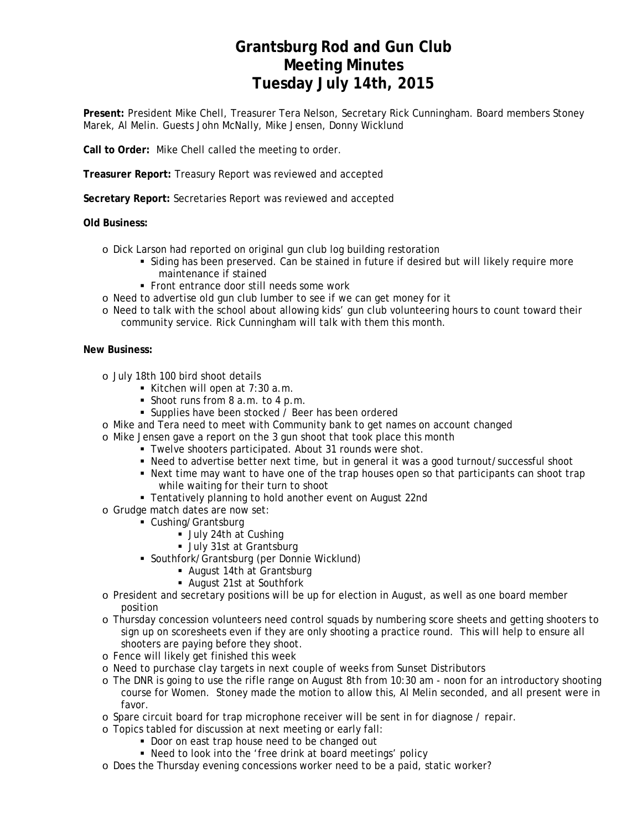## **Grantsburg Rod and Gun Club Meeting Minutes Tuesday July 14th, 2015**

**Present:** President Mike Chell, Treasurer Tera Nelson, Secretary Rick Cunningham. Board members Stoney Marek, Al Melin. Guests John McNally, Mike Jensen, Donny Wicklund

**Call to Order:** Mike Chell called the meeting to order.

**Treasurer Report:** Treasury Report was reviewed and accepted

**Secretary Report:** Secretaries Report was reviewed and accepted

### **Old Business:**

- o Dick Larson had reported on original gun club log building restoration
	- Siding has been preserved. Can be stained in future if desired but will likely require more maintenance if stained
	- Front entrance door still needs some work
- o Need to advertise old gun club lumber to see if we can get money for it
- o Need to talk with the school about allowing kids' gun club volunteering hours to count toward their community service. Rick Cunningham will talk with them this month.

#### **New Business:**

- o July 18th 100 bird shoot details
	- Kitchen will open at  $7:30$  a.m.
	- Shoot runs from 8 a.m. to 4 p.m.
	- **Supplies have been stocked / Beer has been ordered**
- o Mike and Tera need to meet with Community bank to get names on account changed
- o Mike Jensen gave a report on the 3 gun shoot that took place this month
	- Twelve shooters participated. About 31 rounds were shot.
	- Need to advertise better next time, but in general it was a good turnout/successful shoot
	- Next time may want to have one of the trap houses open so that participants can shoot trap while waiting for their turn to shoot
	- Tentatively planning to hold another event on August 22nd
- o Grudge match dates are now set:
	- Cushing/Grantsburg
		- **July 24th at Cushing**
		- **July 31st at Grantsburg**
	- Southfork/Grantsburg (per Donnie Wicklund)
		- August 14th at Grantsburg
		- August 21st at Southfork
- o President and secretary positions will be up for election in August, as well as one board member position
- o Thursday concession volunteers need control squads by numbering score sheets and getting shooters to sign up on scoresheets even if they are only shooting a practice round. This will help to ensure all shooters are paying before they shoot.
- o Fence will likely get finished this week
- o Need to purchase clay targets in next couple of weeks from Sunset Distributors
- o The DNR is going to use the rifle range on August 8th from 10:30 am noon for an introductory shooting course for Women. Stoney made the motion to allow this, Al Melin seconded, and all present were in favor.
- o Spare circuit board for trap microphone receiver will be sent in for diagnose / repair.
- o Topics tabled for discussion at next meeting or early fall:
	- Door on east trap house need to be changed out
	- Need to look into the 'free drink at board meetings' policy
- o Does the Thursday evening concessions worker need to be a paid, static worker?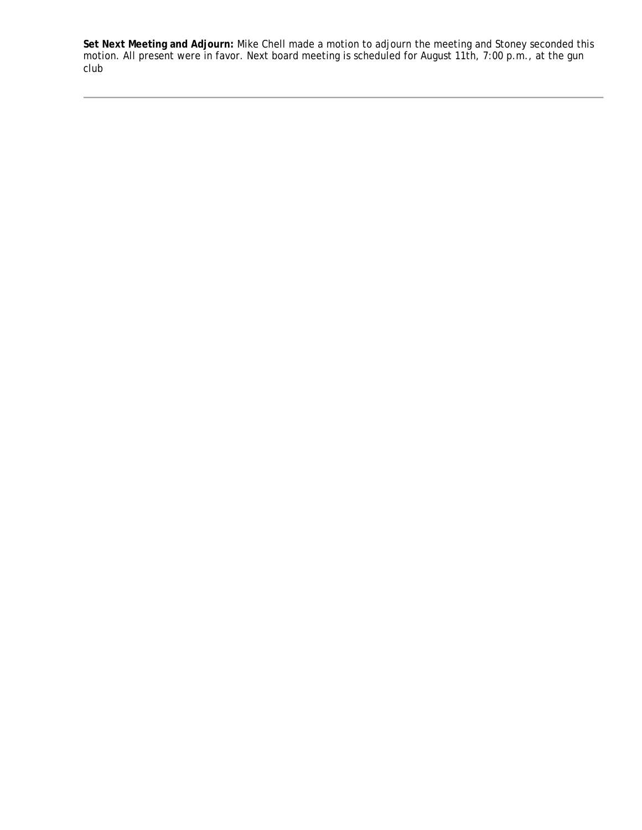**Set Next Meeting and Adjourn:** Mike Chell made a motion to adjourn the meeting and Stoney seconded this motion. All present were in favor. Next board meeting is scheduled for August 11th, 7:00 p.m., at the gun club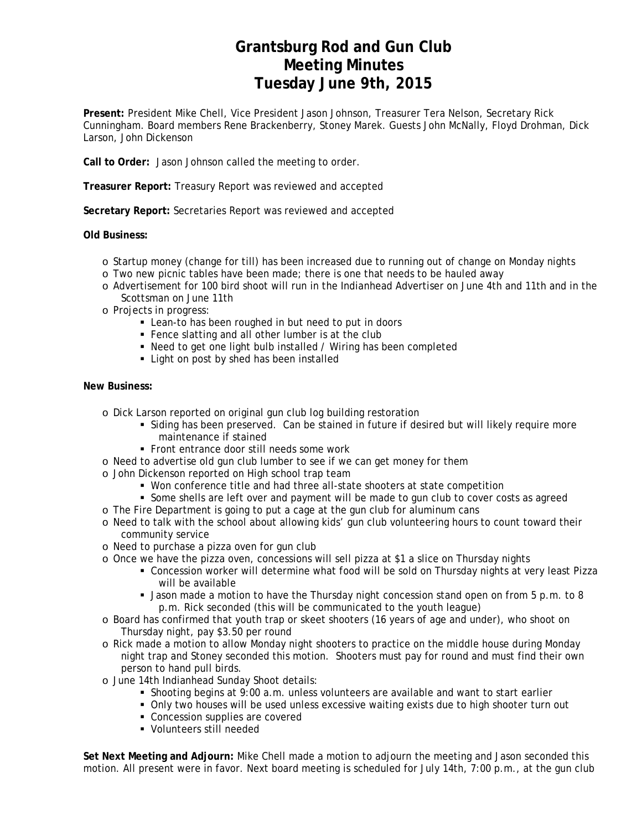## **Grantsburg Rod and Gun Club Meeting Minutes Tuesday June 9th, 2015**

**Present:** President Mike Chell, Vice President Jason Johnson, Treasurer Tera Nelson, Secretary Rick Cunningham. Board members Rene Brackenberry, Stoney Marek. Guests John McNally, Floyd Drohman, Dick Larson, John Dickenson

**Call to Order:** Jason Johnson called the meeting to order.

**Treasurer Report:** Treasury Report was reviewed and accepted

**Secretary Report:** Secretaries Report was reviewed and accepted

### **Old Business:**

- o Startup money (change for till) has been increased due to running out of change on Monday nights
- o Two new picnic tables have been made; there is one that needs to be hauled away
- o Advertisement for 100 bird shoot will run in the Indianhead Advertiser on June 4th and 11th and in the Scottsman on June 11th
- o Projects in progress:
	- Lean-to has been roughed in but need to put in doors
	- Fence slatting and all other lumber is at the club
	- Need to get one light bulb installed / Wiring has been completed
	- Light on post by shed has been installed

### **New Business:**

- o Dick Larson reported on original gun club log building restoration
	- Siding has been preserved. Can be stained in future if desired but will likely require more maintenance if stained
	- Front entrance door still needs some work
- o Need to advertise old gun club lumber to see if we can get money for them
- o John Dickenson reported on High school trap team
	- Won conference title and had three all-state shooters at state competition
	- Some shells are left over and payment will be made to gun club to cover costs as agreed
- o The Fire Department is going to put a cage at the gun club for aluminum cans
- o Need to talk with the school about allowing kids' gun club volunteering hours to count toward their community service
- o Need to purchase a pizza oven for gun club
- o Once we have the pizza oven, concessions will sell pizza at \$1 a slice on Thursday nights
	- Concession worker will determine what food will be sold on Thursday nights at very least Pizza will be available
	- Jason made a motion to have the Thursday night concession stand open on from 5 p.m. to 8 p.m. Rick seconded (this will be communicated to the youth league)
- o Board has confirmed that youth trap or skeet shooters (16 years of age and under), who shoot on Thursday night, pay \$3.50 per round
- o Rick made a motion to allow Monday night shooters to practice on the middle house during Monday night trap and Stoney seconded this motion. Shooters must pay for round and must find their own person to hand pull birds.
- o June 14th Indianhead Sunday Shoot details:
	- Shooting begins at 9:00 a.m. unless volunteers are available and want to start earlier
	- Only two houses will be used unless excessive waiting exists due to high shooter turn out
	- Concession supplies are covered
	- Volunteers still needed

**Set Next Meeting and Adjourn:** Mike Chell made a motion to adjourn the meeting and Jason seconded this motion. All present were in favor. Next board meeting is scheduled for July 14th, 7:00 p.m., at the gun club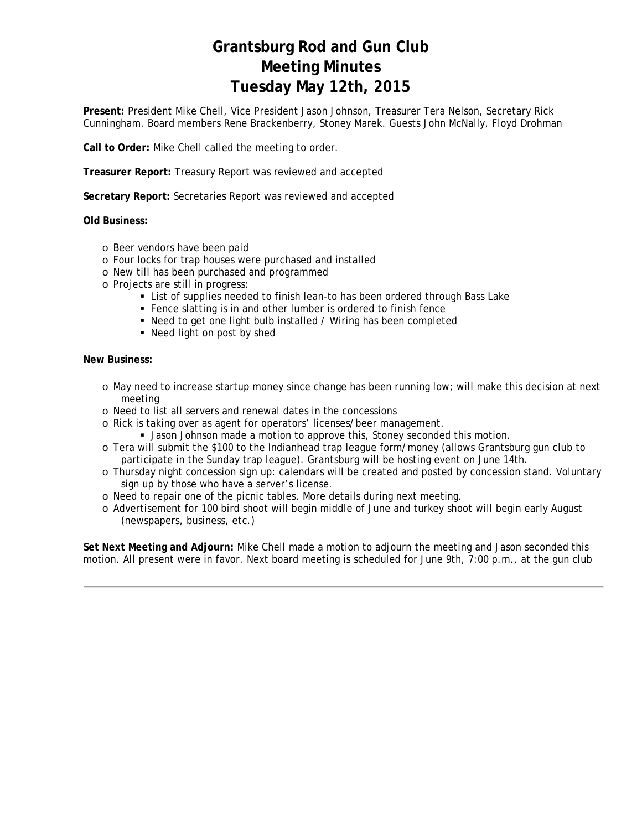# **Grantsburg Rod and Gun Club Meeting Minutes Tuesday May 12th, 2015**

**Present:** President Mike Chell, Vice President Jason Johnson, Treasurer Tera Nelson, Secretary Rick Cunningham. Board members Rene Brackenberry, Stoney Marek. Guests John McNally, Floyd Drohman

**Call to Order:** Mike Chell called the meeting to order.

**Treasurer Report:** Treasury Report was reviewed and accepted

**Secretary Report:** Secretaries Report was reviewed and accepted

**Old Business:**

- o Beer vendors have been paid
- o Four locks for trap houses were purchased and installed
- o New till has been purchased and programmed
- o Projects are still in progress:
	- List of supplies needed to finish lean-to has been ordered through Bass Lake
	- Fence slatting is in and other lumber is ordered to finish fence
	- Need to get one light bulb installed / Wiring has been completed
	- Need light on post by shed

#### **New Business:**

- o May need to increase startup money since change has been running low; will make this decision at next meeting
- o Need to list all servers and renewal dates in the concessions
- o Rick is taking over as agent for operators' licenses/beer management.
	- Jason Johnson made a motion to approve this, Stoney seconded this motion.
- o Tera will submit the \$100 to the Indianhead trap league form/money (allows Grantsburg gun club to participate in the Sunday trap league). Grantsburg will be hosting event on June 14th.
- o Thursday night concession sign up: calendars will be created and posted by concession stand. Voluntary sign up by those who have a server's license.
- o Need to repair one of the picnic tables. More details during next meeting.
- o Advertisement for 100 bird shoot will begin middle of June and turkey shoot will begin early August (newspapers, business, etc.)

**Set Next Meeting and Adjourn:** Mike Chell made a motion to adjourn the meeting and Jason seconded this motion. All present were in favor. Next board meeting is scheduled for June 9th, 7:00 p.m., at the gun club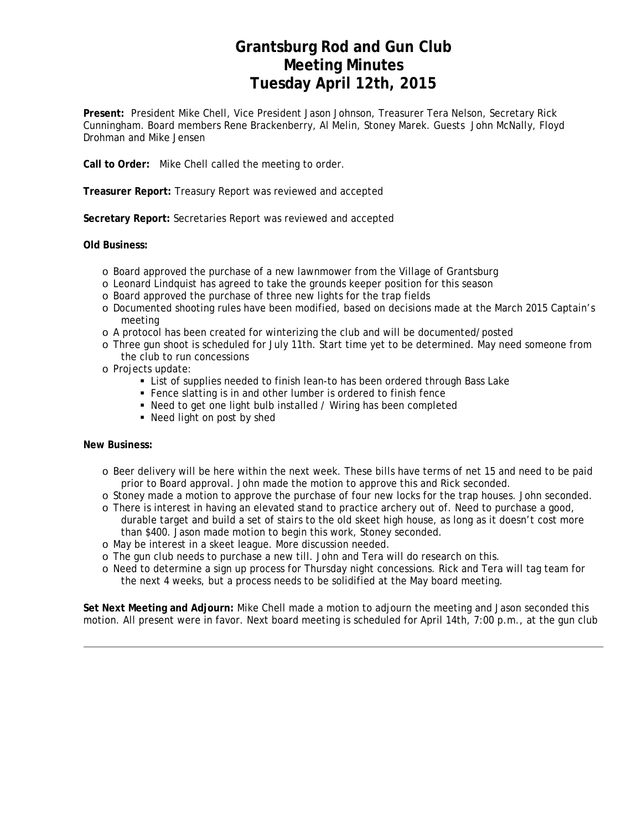## **Grantsburg Rod and Gun Club Meeting Minutes Tuesday April 12th, 2015**

**Present:** President Mike Chell, Vice President Jason Johnson, Treasurer Tera Nelson, Secretary Rick Cunningham. Board members Rene Brackenberry, Al Melin, Stoney Marek. Guests John McNally, Floyd Drohman and Mike Jensen

**Call to Order:** Mike Chell called the meeting to order.

**Treasurer Report:** Treasury Report was reviewed and accepted

**Secretary Report:** Secretaries Report was reviewed and accepted

### **Old Business:**

- o Board approved the purchase of a new lawnmower from the Village of Grantsburg
- o Leonard Lindquist has agreed to take the grounds keeper position for this season
- o Board approved the purchase of three new lights for the trap fields
- o Documented shooting rules have been modified, based on decisions made at the March 2015 Captain's meeting
- o A protocol has been created for winterizing the club and will be documented/posted
- o Three gun shoot is scheduled for July 11th. Start time yet to be determined. May need someone from the club to run concessions
- o Projects update:
	- List of supplies needed to finish lean-to has been ordered through Bass Lake
	- Fence slatting is in and other lumber is ordered to finish fence
	- Need to get one light bulb installed / Wiring has been completed
	- Need light on post by shed

#### **New Business:**

- o Beer delivery will be here within the next week. These bills have terms of net 15 and need to be paid prior to Board approval. John made the motion to approve this and Rick seconded.
- o Stoney made a motion to approve the purchase of four new locks for the trap houses. John seconded.
- o There is interest in having an elevated stand to practice archery out of. Need to purchase a good, durable target and build a set of stairs to the old skeet high house, as long as it doesn't cost more
- than \$400. Jason made motion to begin this work, Stoney seconded.
- o May be interest in a skeet league. More discussion needed.
- o The gun club needs to purchase a new till. John and Tera will do research on this.
- o Need to determine a sign up process for Thursday night concessions. Rick and Tera will tag team for the next 4 weeks, but a process needs to be solidified at the May board meeting.

**Set Next Meeting and Adjourn:** Mike Chell made a motion to adjourn the meeting and Jason seconded this motion. All present were in favor. Next board meeting is scheduled for April 14th, 7:00 p.m., at the gun club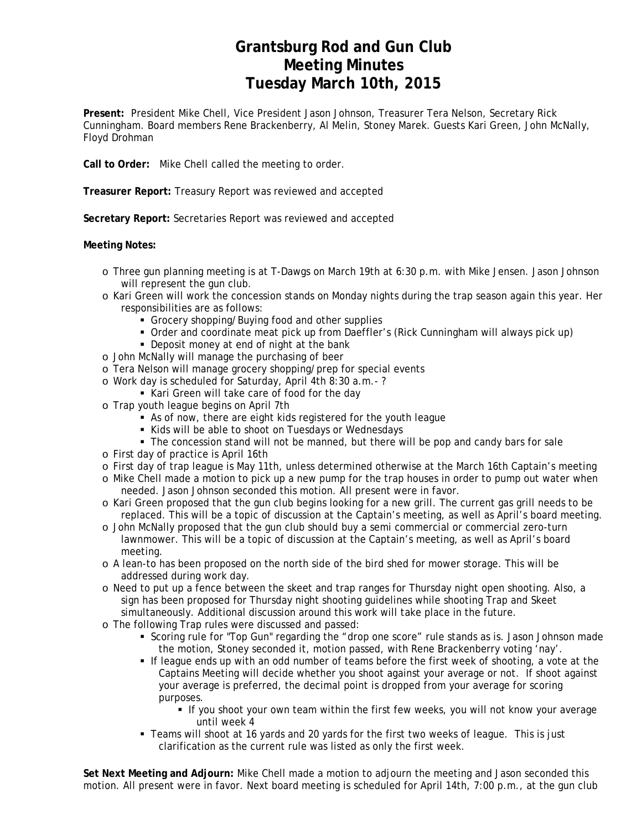## **Grantsburg Rod and Gun Club Meeting Minutes Tuesday March 10th, 2015**

**Present:** President Mike Chell, Vice President Jason Johnson, Treasurer Tera Nelson, Secretary Rick Cunningham. Board members Rene Brackenberry, Al Melin, Stoney Marek. Guests Kari Green, John McNally, Floyd Drohman

**Call to Order:** Mike Chell called the meeting to order.

**Treasurer Report:** Treasury Report was reviewed and accepted

**Secretary Report:** Secretaries Report was reviewed and accepted

### **Meeting Notes:**

- o Three gun planning meeting is at T-Dawgs on March 19th at 6:30 p.m. with Mike Jensen. Jason Johnson will represent the gun club.
- o Kari Green will work the concession stands on Monday nights during the trap season again this year. Her responsibilities are as follows:
	- Grocery shopping/Buying food and other supplies
	- Order and coordinate meat pick up from Daeffler's (Rick Cunningham will always pick up)
	- Deposit money at end of night at the bank
- o John McNally will manage the purchasing of beer
- o Tera Nelson will manage grocery shopping/prep for special events
- o Work day is scheduled for Saturday, April 4th 8:30 a.m.- ?
	- Kari Green will take care of food for the day
- o Trap youth league begins on April 7th
	- As of now, there are eight kids registered for the youth league
	- Kids will be able to shoot on Tuesdays or Wednesdays
	- The concession stand will not be manned, but there will be pop and candy bars for sale
- o First day of practice is April 16th
- o First day of trap league is May 11th, unless determined otherwise at the March 16th Captain's meeting
- o Mike Chell made a motion to pick up a new pump for the trap houses in order to pump out water when needed. Jason Johnson seconded this motion. All present were in favor.
- o Kari Green proposed that the gun club begins looking for a new grill. The current gas grill needs to be replaced. This will be a topic of discussion at the Captain's meeting, as well as April's board meeting.
- o John McNally proposed that the gun club should buy a semi commercial or commercial zero-turn lawnmower. This will be a topic of discussion at the Captain's meeting, as well as April's board meeting.
- o A lean-to has been proposed on the north side of the bird shed for mower storage. This will be addressed during work day.
- o Need to put up a fence between the skeet and trap ranges for Thursday night open shooting. Also, a sign has been proposed for Thursday night shooting guidelines while shooting Trap and Skeet simultaneously. Additional discussion around this work will take place in the future.
- o The following Trap rules were discussed and passed:
	- Scoring rule for "Top Gun" regarding the "drop one score" rule stands as is. Jason Johnson made the motion, Stoney seconded it, motion passed, with Rene Brackenberry voting 'nay'.
	- If league ends up with an odd number of teams before the first week of shooting, a vote at the Captains Meeting will decide whether you shoot against your average or not. If shoot against your average is preferred, the decimal point is dropped from your average for scoring purposes.
		- If you shoot your own team within the first few weeks, you will not know your average until week 4
	- Teams will shoot at 16 yards and 20 yards for the first two weeks of league. This is just clarification as the current rule was listed as only the first week.

**Set Next Meeting and Adjourn:** Mike Chell made a motion to adjourn the meeting and Jason seconded this motion. All present were in favor. Next board meeting is scheduled for April 14th, 7:00 p.m., at the gun club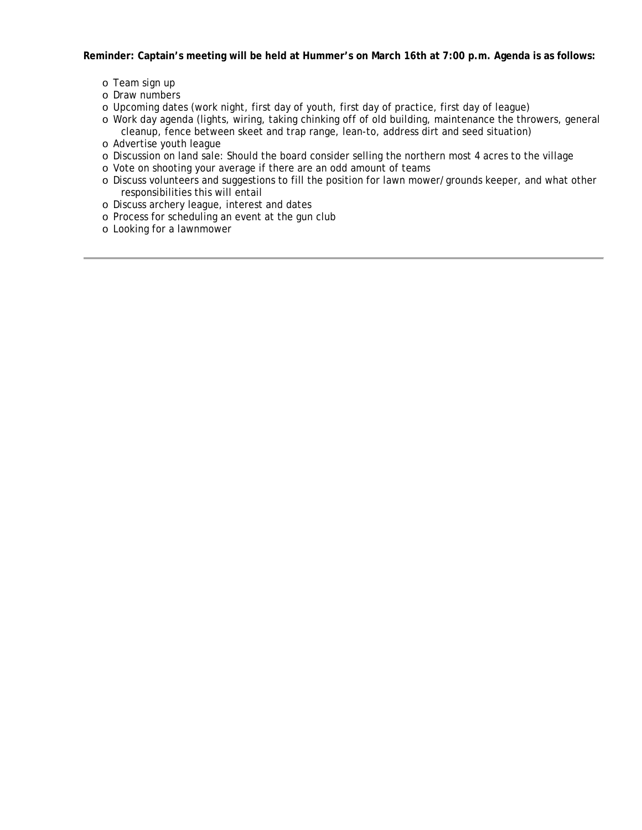**Reminder: Captain's meeting will be held at Hummer's on March 16th at 7:00 p.m. Agenda is as follows:**

- o Team sign up
- o Draw numbers
- o Upcoming dates (work night, first day of youth, first day of practice, first day of league)
- o Work day agenda (lights, wiring, taking chinking off of old building, maintenance the throwers, general cleanup, fence between skeet and trap range, lean-to, address dirt and seed situation)
- o Advertise youth league
- o Discussion on land sale: Should the board consider selling the northern most 4 acres to the village
- o Vote on shooting your average if there are an odd amount of teams
- o Discuss volunteers and suggestions to fill the position for lawn mower/grounds keeper, and what other responsibilities this will entail
- o Discuss archery league, interest and dates
- o Process for scheduling an event at the gun club
- o Looking for a lawnmower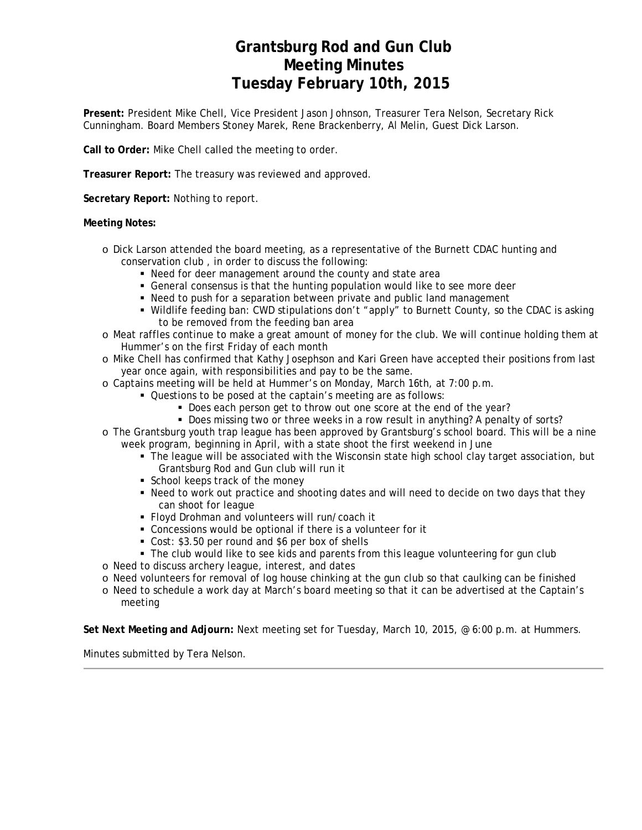## **Grantsburg Rod and Gun Club Meeting Minutes Tuesday February 10th, 2015**

**Present:** President Mike Chell, Vice President Jason Johnson, Treasurer Tera Nelson, Secretary Rick Cunningham. Board Members Stoney Marek, Rene Brackenberry, Al Melin, Guest Dick Larson.

**Call to Order:** Mike Chell called the meeting to order.

**Treasurer Report:** The treasury was reviewed and approved.

**Secretary Report:** Nothing to report.

### **Meeting Notes:**

- o Dick Larson attended the board meeting, as a representative of the Burnett CDAC hunting and conservation club , in order to discuss the following:
	- Need for deer management around the county and state area
	- General consensus is that the hunting population would like to see more deer
	- Need to push for a separation between private and public land management
	- Wildlife feeding ban: CWD stipulations don't "apply" to Burnett County, so the CDAC is asking to be removed from the feeding ban area
- o Meat raffles continue to make a great amount of money for the club. We will continue holding them at Hummer's on the first Friday of each month
- o Mike Chell has confirmed that Kathy Josephson and Kari Green have accepted their positions from last year once again, with responsibilities and pay to be the same.
- o Captains meeting will be held at Hummer's on Monday, March 16th, at 7:00 p.m.
	- Questions to be posed at the captain's meeting are as follows:
		- Does each person get to throw out one score at the end of the year?
		- Does missing two or three weeks in a row result in anything? A penalty of sorts?
- o The Grantsburg youth trap league has been approved by Grantsburg's school board. This will be a nine week program, beginning in April, with a state shoot the first weekend in June
	- The league will be associated with the Wisconsin state high school clay target association, but Grantsburg Rod and Gun club will run it
	- School keeps track of the money
	- Need to work out practice and shooting dates and will need to decide on two days that they can shoot for league
	- Floyd Drohman and volunteers will run/coach it
	- Concessions would be optional if there is a volunteer for it
	- Cost: \$3.50 per round and \$6 per box of shells
	- The club would like to see kids and parents from this league volunteering for gun club
- o Need to discuss archery league, interest, and dates
- o Need volunteers for removal of log house chinking at the gun club so that caulking can be finished
- o Need to schedule a work day at March's board meeting so that it can be advertised at the Captain's meeting

**Set Next Meeting and Adjourn:** Next meeting set for Tuesday, March 10, 2015, @ 6:00 p.m. at Hummers.

Minutes submitted by Tera Nelson.